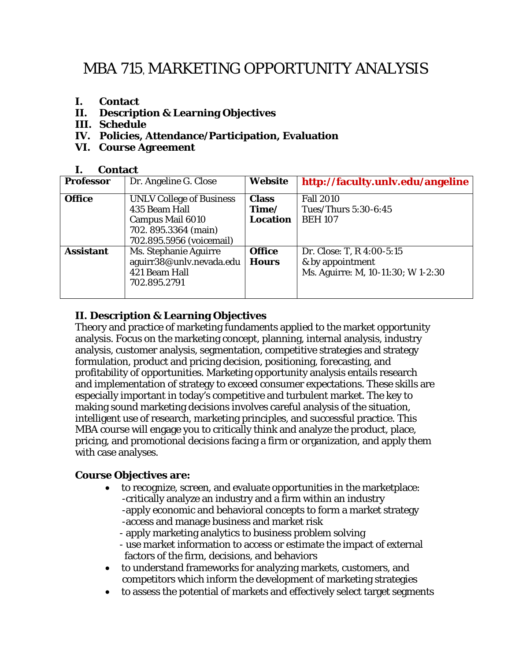# MBA 715, MARKETING OPPORTUNITY ANALYSIS

- **I. Contact**
- **II. Description & Learning Objectives**
- **III. Schedule**
- **IV. Policies, Attendance/Participation, Evaluation**
- **VI. Course Agreement**

#### **I. Contact**

| <b>Professor</b> | Dr. Angeline G. Close                                                                                                          | <b>Website</b>                           | http://faculty.unlv.edu/angeline                                                    |
|------------------|--------------------------------------------------------------------------------------------------------------------------------|------------------------------------------|-------------------------------------------------------------------------------------|
| <b>Office</b>    | <b>UNLV College of Business</b><br>435 Beam Hall<br><b>Campus Mail 6010</b><br>702.895.3364 (main)<br>702.895.5956 (voicemail) | <b>Class</b><br>Time/<br><b>Location</b> | <b>Fall 2010</b><br>Tues/Thurs 5:30-6:45<br><b>BEH 107</b>                          |
| <b>Assistant</b> | Ms. Stephanie Aguirre<br>aguirr38@unlv.nevada.edu<br>421 Beam Hall<br>702.895.2791                                             | <b>Office</b><br><b>Hours</b>            | Dr. Close: T, R 4:00-5:15<br>& by appointment<br>Ms. Aguirre: M, 10-11:30; W 1-2:30 |

# **II. Description & Learning Objectives**

Theory and practice of marketing fundaments applied to the market opportunity analysis. Focus on the marketing concept, planning, internal analysis, industry analysis, customer analysis, segmentation, competitive strategies and strategy formulation, product and pricing decision, positioning, forecasting, and profitability of opportunities. Marketing opportunity analysis entails research and implementation of strategy to exceed consumer expectations. These skills are especially important in today's competitive and turbulent market. The key to making sound marketing decisions involves careful analysis of the situation, intelligent use of research, marketing principles, and successful practice. This MBA course will engage you to critically think and analyze the product, place, pricing, and promotional decisions facing a firm or organization, and apply them with case analyses.

#### **Course Objectives are:**

- to recognize, screen, and evaluate opportunities in the marketplace: -critically analyze an industry and a firm within an industry -apply economic and behavioral concepts to form a market strategy -access and manage business and market risk
	- apply marketing analytics to business problem solving
	- use market information to access or estimate the impact of external factors of the firm, decisions, and behaviors
- to understand frameworks for analyzing markets, customers, and competitors which inform the development of marketing strategies
- to assess the potential of markets and effectively select target segments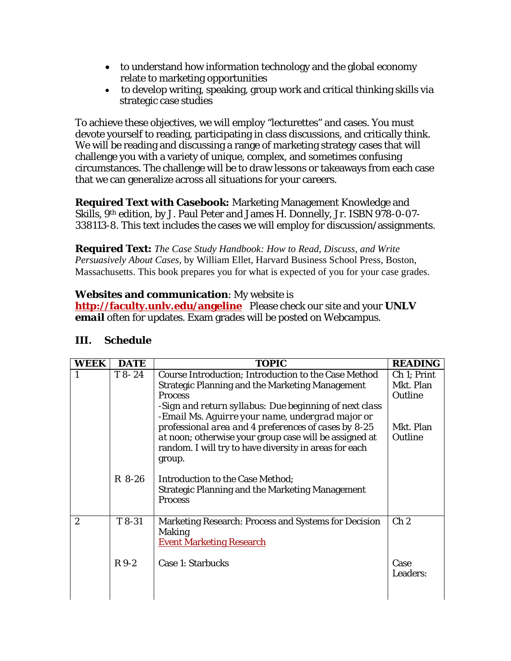- to understand how information technology and the global economy relate to marketing opportunities
- to develop writing, speaking, group work and critical thinking skills via strategic case studies

To achieve these objectives, we will employ "lecturettes" and cases. You must devote yourself to reading, participating in class discussions, and critically think. We will be reading and discussing a range of marketing strategy cases that will challenge you with a variety of unique, complex, and sometimes confusing circumstances. The challenge will be to draw lessons or takeaways from each case that we can generalize across all situations for your careers.

**Required Text with Casebook:** Marketing Management Knowledge and Skills, 9th edition, by J. Paul Peter and James H. Donnelly, Jr. ISBN 978-0-07- 338113-8. This text includes the cases we will employ for discussion/assignments.

**Required Text:** *The Case Study Handbook: How to Read, Discuss, and Write Persuasively About Cases*, by William Ellet, Harvard Business School Press, Boston, Massachusetts. This book prepares you for what is expected of you for your case grades.

## **Websites and communication**: My website is

**http://faculty.unlv.edu/angeline** Please check our site and your *UNLV email* often for updates. Exam grades will be posted on Webcampus.

#### **III. Schedule**

| <b>WEEK</b>    | <b>DATE</b> | <b>TOPIC</b>                                                                                                                                                                                                                                                                                                                                                                                                                      | <b>READING</b>                                              |
|----------------|-------------|-----------------------------------------------------------------------------------------------------------------------------------------------------------------------------------------------------------------------------------------------------------------------------------------------------------------------------------------------------------------------------------------------------------------------------------|-------------------------------------------------------------|
|                | $T8-24$     | <b>Course Introduction; Introduction to the Case Method</b><br><b>Strategic Planning and the Marketing Management</b><br><b>Process</b><br>-Sign and return syllabus: Due beginning of next class<br>-Email Ms. Aguirre your name, undergrad major or<br>professional area and 4 preferences of cases by 8-25<br>at noon; otherwise your group case will be assigned at<br>random. I will try to have diversity in areas for each | Ch 1: Print<br>Mkt. Plan<br>Outline<br>Mkt. Plan<br>Outline |
|                | $R8-26$     | group.<br>Introduction to the Case Method;<br><b>Strategic Planning and the Marketing Management</b><br><b>Process</b>                                                                                                                                                                                                                                                                                                            |                                                             |
| $\overline{2}$ | T 8-31      | Marketing Research: Process and Systems for Decision<br><b>Making</b><br><b>Event Marketing Research</b>                                                                                                                                                                                                                                                                                                                          | Ch <sub>2</sub>                                             |
|                | $R9-2$      | <b>Case 1: Starbucks</b>                                                                                                                                                                                                                                                                                                                                                                                                          | Case<br>Leaders:                                            |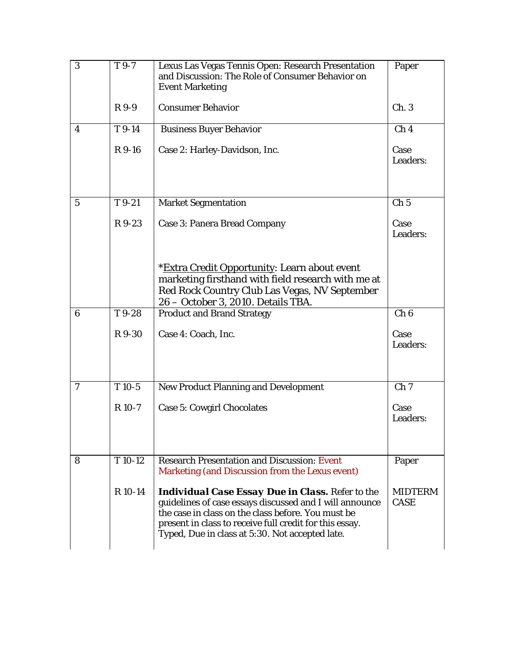| 3                | T 9-7              | Lexus Las Vegas Tennis Open: Research Presentation<br>and Discussion: The Role of Consumer Behavior on<br><b>Event Marketing</b>                                                                                                                                                       | Paper                         |
|------------------|--------------------|----------------------------------------------------------------------------------------------------------------------------------------------------------------------------------------------------------------------------------------------------------------------------------------|-------------------------------|
|                  | R 9-9              | <b>Consumer Behavior</b>                                                                                                                                                                                                                                                               | Ch.3                          |
| 4                | T 9-14             | <b>Business Buyer Behavior</b>                                                                                                                                                                                                                                                         | Ch <sub>4</sub>               |
|                  | R 9-16             | Case 2: Harley-Davidson, Inc.                                                                                                                                                                                                                                                          | Case<br>Leaders:              |
| $\overline{5}$   | $T9-21$            | <b>Market Segmentation</b>                                                                                                                                                                                                                                                             | Ch <sub>5</sub>               |
|                  | R 9-23             | <b>Case 3: Panera Bread Company</b>                                                                                                                                                                                                                                                    | Case<br>Leaders:              |
|                  |                    | *Extra Credit Opportunity: Learn about event<br>marketing firsthand with field research with me at<br>Red Rock Country Club Las Vegas, NV September<br>26 - October 3, 2010. Details TBA.                                                                                              |                               |
| $\boldsymbol{6}$ | T9-28              | <b>Product and Brand Strategy</b>                                                                                                                                                                                                                                                      | $\overline{Ch6}$              |
|                  | R 9-30             | Case 4: Coach, Inc.                                                                                                                                                                                                                                                                    | Case<br>Leaders:              |
| 7                | $T10-5$            | <b>New Product Planning and Development</b>                                                                                                                                                                                                                                            | Ch <sub>7</sub>               |
|                  | $R$ 10-7           | <b>Case 5: Cowgirl Chocolates</b>                                                                                                                                                                                                                                                      | Case<br>Leaders:              |
| 8                | T <sub>10-12</sub> | <b>Research Presentation and Discussion: Event</b><br>Marketing (and Discussion from the Lexus event)                                                                                                                                                                                  | Paper                         |
|                  | R 10-14            | <b>Individual Case Essay Due in Class.</b> Refer to the<br>guidelines of case essays discussed and I will announce<br>the case in class on the class before. You must be<br>present in class to receive full credit for this essay.<br>Typed, Due in class at 5:30. Not accepted late. | <b>MIDTERM</b><br><b>CASE</b> |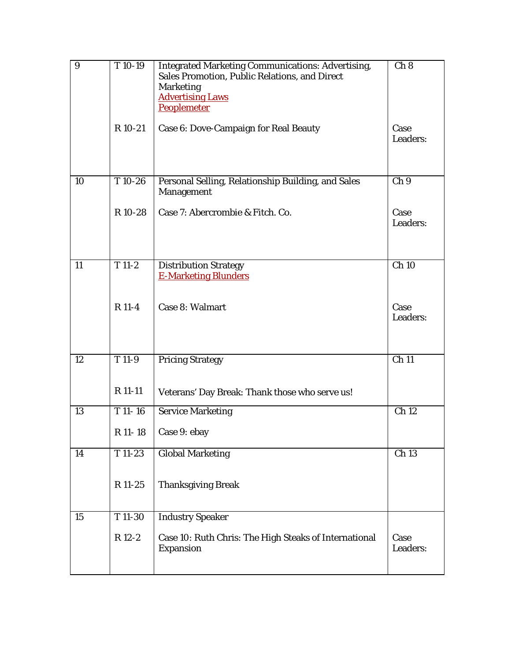| 9  | T 10-19             | <b>Integrated Marketing Communications: Advertising,</b><br>Sales Promotion, Public Relations, and Direct<br><b>Marketing</b><br><b>Advertising Laws</b><br>Peoplemeter | Ch 8               |
|----|---------------------|-------------------------------------------------------------------------------------------------------------------------------------------------------------------------|--------------------|
|    | R 10-21             | Case 6: Dove-Campaign for Real Beauty                                                                                                                                   | Case<br>Leaders:   |
| 10 | T10-26              | Personal Selling, Relationship Building, and Sales<br>Management                                                                                                        | Ch <sub>9</sub>    |
|    | R 10-28             | Case 7: Abercrombie & Fitch. Co.                                                                                                                                        | Case<br>Leaders:   |
| 11 | $\overline{T}$ 11-2 | <b>Distribution Strategy</b><br><b>E-Marketing Blunders</b>                                                                                                             | $\overline{Ch}$ 10 |
|    | R 11-4              | Case 8: Walmart                                                                                                                                                         | Case<br>Leaders:   |
| 12 | T 11-9              | <b>Pricing Strategy</b>                                                                                                                                                 | $\overline{Ch}$ 11 |
|    | R 11-11             | Veterans' Day Break: Thank those who serve us!                                                                                                                          |                    |
| 13 | $T$ 11-16           | <b>Service Marketing</b>                                                                                                                                                | Ch 12              |
|    | R 11-18             | Case 9: ebay                                                                                                                                                            |                    |
| 14 | $T11-23$            | <b>Global Marketing</b>                                                                                                                                                 | Ch 13              |
|    | R 11-25             | <b>Thanksgiving Break</b>                                                                                                                                               |                    |
| 15 | T 11-30             | <b>Industry Speaker</b>                                                                                                                                                 |                    |
|    | R 12-2              | Case 10: Ruth Chris: The High Steaks of International<br>Expansion                                                                                                      | Case<br>Leaders:   |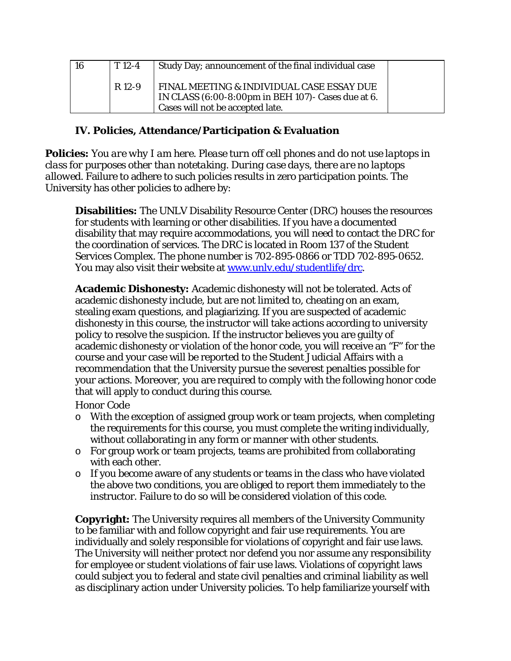| 16 | $T_{12-4}$ | Study Day; announcement of the final individual case                                                                                |  |
|----|------------|-------------------------------------------------------------------------------------------------------------------------------------|--|
|    | R 12-9     | FINAL MEETING & INDIVIDUAL CASE ESSAY DUE<br>IN CLASS (6:00-8:00pm in BEH 107)- Cases due at 6.<br>Cases will not be accepted late. |  |

### **IV. Policies, Attendance/Participation & Evaluation**

**Policies:** *You are why I am here*. *Please turn off cell phones and do not use laptops in class for purposes other than notetaking. During case days, there are no laptops allowed.* Failure to adhere to such policies results in zero participation points. The University has other policies to adhere by:

**Disabilities:** The UNLV Disability Resource Center (DRC) houses the resources for students with learning or other disabilities. If you have a documented disability that may require accommodations, you will need to contact the DRC for the coordination of services. The DRC is located in Room 137 of the Student Services Complex. The phone number is 702-895-0866 or TDD 702-895-0652. You may also visit their website at www.unly.edu/studentlife/drc.

**Academic Dishonesty:** Academic dishonesty will not be tolerated. Acts of academic dishonesty include, but are not limited to, cheating on an exam, stealing exam questions, and plagiarizing. If you are suspected of academic dishonesty in this course, the instructor will take actions according to university policy to resolve the suspicion. If the instructor believes you are guilty of academic dishonesty or violation of the honor code, you will receive an "F" for the course and your case will be reported to the Student Judicial Affairs with a recommendation that the University pursue the severest penalties possible for your actions. Moreover, you are required to comply with the following honor code that will apply to conduct during this course.

#### *Honor Code*

- $\circ$  With the exception of assigned group work or team projects, when completing the requirements for this course, you must complete the writing individually, without collaborating in any form or manner with other students.
- $\circ$  For group work or team projects, teams are prohibited from collaborating with each other.
- $\circ$  If you become aware of any students or teams in the class who have violated the above two conditions, you are obliged to report them immediately to the instructor. Failure to do so will be considered violation of this code.

**Copyright:** The University requires all members of the University Community to be familiar with and follow copyright and fair use requirements. You are individually and solely responsible for violations of copyright and fair use laws. The University will neither protect nor defend you nor assume any responsibility for employee or student violations of fair use laws. Violations of copyright laws could subject you to federal and state civil penalties and criminal liability as well as disciplinary action under University policies. To help familiarize yourself with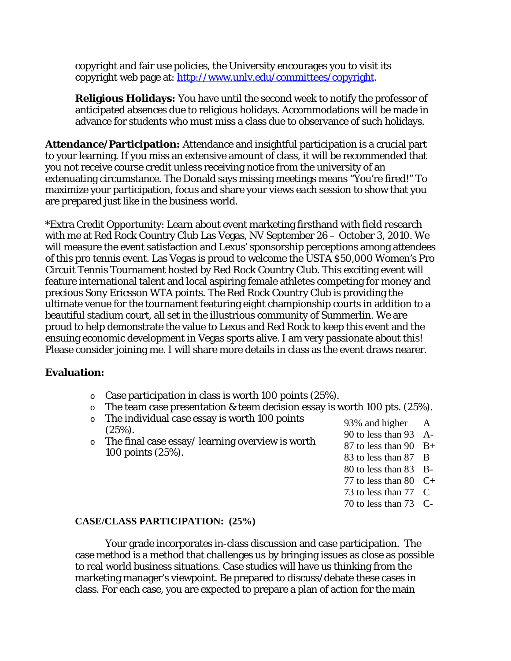copyright and fair use policies, the University encourages you to visit its copyright web page at: http://www.unly.edu/committees/copyright.

**Religious Holidays:** You have until the second week to notify the professor of anticipated absences due to religious holidays. Accommodations will be made in advance for students who must miss a class due to observance of such holidays.

**Attendance/Participation:** Attendance and insightful participation is a crucial part to your learning. If you miss an extensive amount of class, it will be recommended that you not receive course credit unless receiving notice from the university of an extenuating circumstance. The Donald says missing meetings means "You're fired!" To maximize your participation, focus and share your views *each session* to show that you are prepared just like in the business world.

\*Extra Credit Opportunity: Learn about event marketing firsthand with field research with me at Red Rock Country Club Las Vegas, NV September 26 – October 3, 2010. We will measure the event satisfaction and Lexus' sponsorship perceptions among attendees of this pro tennis event. Las Vegas is proud to welcome the USTA \$50,000 Women's Pro Circuit Tennis Tournament hosted by Red Rock Country Club. This exciting event will feature international talent and local aspiring female athletes competing for money and precious Sony Ericsson WTA points. The Red Rock Country Club is providing the ultimate venue for the tournament featuring eight championship courts in addition to a beautiful stadium court, all set in the illustrious community of Summerlin. We are proud to help demonstrate the value to Lexus and Red Rock to keep this event and the ensuing economic development in Vegas sports alive. I am very passionate about this! Please consider joining me. I will share more details in class as the event draws nearer.

#### **Evaluation:**

- $\circ$  Case participation in class is worth 100 points (25%).
- $\circ$  The team case presentation & team decision essay is worth 100 pts. (25%).
- o The individual case essay is worth 100 points  $(25\%)$ .
- o The final case essay/ learning overview is worth 100 points (25%).
- 93% and higher A
- 90 to less than 93 A-
- 87 to less than 90 B+
- 83 to less than 87 B
- 80 to less than 83 B-
- 77 to less than 80  $C+$
- 73 to less than 77 C
- 70 to less than 73 C-

#### **CASE/CLASS PARTICIPATION: (25%)**

 Your grade incorporates in-class discussion and case participation. The case method is a method that challenges us by bringing issues as close as possible to real world business situations. Case studies will have us thinking from the marketing manager's viewpoint. Be prepared to discuss/debate these cases in class. For each case, you are expected to prepare a plan of action for the main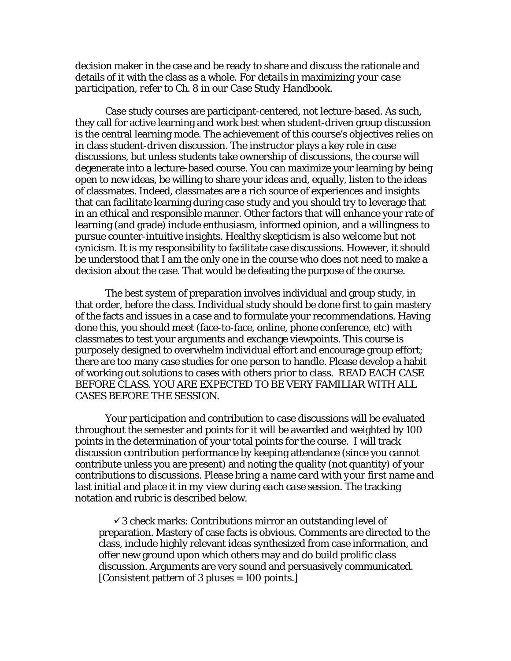decision maker in the case and be ready to share and discuss the rationale and details of it with the class as a whole. *For details in maximizing your case participation, refer to Ch. 8 in our Case Study Handbook.*

 Case study courses are participant-centered, not lecture-based. As such, they call for active learning and work best when student-driven group discussion is the central learning mode. The achievement of this course's objectives relies on in class *student-driven* discussion. The instructor plays a key role in case discussions, but unless students take ownership of discussions, the course will degenerate into a lecture-based course. You can maximize your learning by being open to new ideas, be willing to share your ideas and, equally, listen to the ideas of classmates. Indeed, classmates are a rich source of experiences and insights that can facilitate learning during case study and you should try to leverage that in an ethical and responsible manner. Other factors that will enhance your rate of learning (and grade) include enthusiasm, informed opinion, and a willingness to pursue counter-intuitive insights. Healthy skepticism is also welcome but not cynicism. It is my responsibility to facilitate case discussions. However, it should be understood that I am the only one in the course who does not need to make a decision about the case. That would be defeating the purpose of the course.

 The best system of preparation involves individual and group study, in that order, before the class. Individual study should be done first to gain mastery of the facts and issues in a case and to formulate your recommendations. Having done this, you should meet (face-to-face, online, phone conference, etc) with classmates to test your arguments and exchange viewpoints. This course is purposely designed to overwhelm individual effort and encourage group effort; there are too many case studies for one person to handle. Please develop a habit of working out solutions to cases with others prior to class. READ EACH CASE BEFORE CLASS. YOU ARE EXPECTED TO BE VERY FAMILIAR WITH ALL CASES BEFORE THE SESSION.

 Your participation and contribution to case discussions will be evaluated throughout the semester and points for it will be awarded and weighted by 100 points in the determination of your total points for the course. I will track discussion contribution performance by keeping attendance (since you cannot contribute unless you are present) and noting the quality (not quantity) of your contributions to discussions. *Please bring a name card with your first name and last initial and place it in my view during each case session.* The tracking notation and rubric is described below.

 $\checkmark$ 3 check marks: Contributions mirror an outstanding level of preparation. Mastery of case facts is obvious. Comments are directed to the class, include highly relevant ideas synthesized from case information, and offer new ground upon which others may and do build prolific class discussion. Arguments are very sound and persuasively communicated. [Consistent pattern of 3 pluses = 100 points.]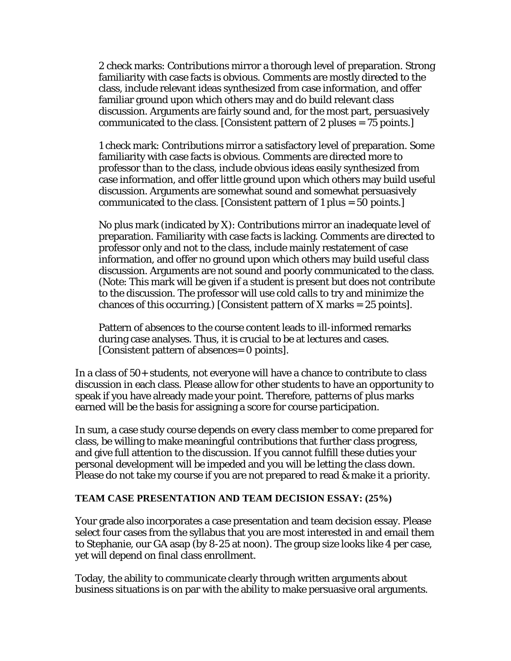2 check marks: Contributions mirror a thorough level of preparation. Strong familiarity with case facts is obvious. Comments are mostly directed to the class, include relevant ideas synthesized from case information, and offer familiar ground upon which others may and do build relevant class discussion. Arguments are fairly sound and, for the most part, persuasively communicated to the class. [Consistent pattern of 2 pluses = 75 points.]

1 check mark: Contributions mirror a satisfactory level of preparation. Some familiarity with case facts is obvious. Comments are directed more to professor than to the class, include obvious ideas easily synthesized from case information, and offer little ground upon which others may build useful discussion. Arguments are somewhat sound and somewhat persuasively communicated to the class. [Consistent pattern of 1 plus = 50 points.]

No plus mark (indicated by X): Contributions mirror an inadequate level of preparation. Familiarity with case facts is lacking. Comments are directed to professor only and not to the class, include mainly restatement of case information, and offer no ground upon which others may build useful class discussion. Arguments are not sound and poorly communicated to the class. (Note: This mark will be given if a student is present but does not contribute to the discussion. The professor will use cold calls to try and minimize the chances of this occurring.) [Consistent pattern of X marks  $= 25$  points].

Pattern of absences to the course content leads to ill-informed remarks during case analyses. Thus, it is crucial to be at lectures and cases. [Consistent pattern of absences= 0 points].

In a class of 50+ students, not everyone will have a chance to contribute to class discussion in each class. Please allow for other students to have an opportunity to speak if you have already made your point. Therefore, patterns of plus marks earned will be the basis for assigning a score for course participation.

In sum, a case study course depends on every class member to come prepared for class, be willing to make meaningful contributions that further class progress, and give full attention to the discussion. If you cannot fulfill these duties your personal development will be impeded and you will be letting the class down. Please do not take my course if you are not prepared to read & make it a priority.

#### **TEAM CASE PRESENTATION AND TEAM DECISION ESSAY: (25%)**

Your grade also incorporates a case presentation and team decision essay. Please select four cases from the syllabus that you are most interested in and email them to Stephanie, our GA asap (by 8-25 at noon). The group size looks like 4 per case, yet will depend on final class enrollment.

Today, the ability to communicate clearly through written arguments about business situations is on par with the ability to make persuasive oral arguments.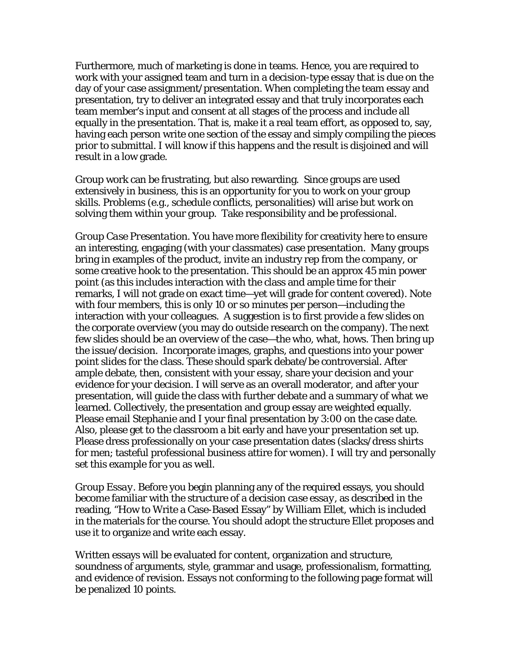Furthermore, much of marketing is done in teams. Hence, you are required to work with your assigned team and turn in a decision-type essay that is due on the day of your case assignment/presentation. When completing the team essay and presentation, try to deliver an integrated essay and that truly incorporates each team member's input and consent at all stages of the process and include all equally in the presentation. That is, make it a real team effort, as opposed to, say, having each person write one section of the essay and simply compiling the pieces prior to submittal. I will know if this happens and the result is disjoined and will result in a low grade.

Group work can be frustrating, but also rewarding. Since groups are used extensively in business, this is an opportunity for you to work on your group skills. Problems (e.g., schedule conflicts, personalities) will arise but work on solving them within your group. Take responsibility and be professional.

*Group Case Presentation.* You have more flexibility for creativity here to ensure an interesting, engaging (with your classmates) case presentation. Many groups bring in examples of the product, invite an industry rep from the company, or some creative hook to the presentation. This should be an approx 45 min power point (as this includes interaction with the class and ample time for their remarks, I will not grade on exact time—yet will grade for content covered). Note with four members, this is only 10 or so minutes per person—including the interaction with your colleagues. A suggestion is to first provide a few slides on the corporate overview (you may do outside research on the company). The next few slides should be an overview of the case—the who, what, hows. Then bring up the issue/decision. Incorporate images, graphs, and questions into your power point slides for the class. These should spark debate/be controversial. After ample debate, then, consistent with your essay, share your decision and your evidence for your decision. I will serve as an overall moderator, and after your presentation, will guide the class with further debate and a summary of what we learned. Collectively, the presentation and group essay are weighted equally. Please email Stephanie and I your final presentation by 3:00 on the case date. Also, please get to the classroom a bit early and have your presentation set up. Please dress professionally on your case presentation dates (slacks/dress shirts for men; tasteful professional business attire for women). I will try and personally set this example for you as well.

*Group Essay.* Before you begin planning any of the required essays, you should become familiar with the structure of a *decision case essay*, as described in the reading, "How to Write a Case-Based Essay" by William Ellet, which is included in the materials for the course. You should adopt the structure Ellet proposes and use it to organize and write each essay.

Written essays will be evaluated for content, organization and structure, soundness of arguments, style, grammar and usage, professionalism, formatting, and evidence of revision. Essays not conforming to the following page format will be penalized 10 points.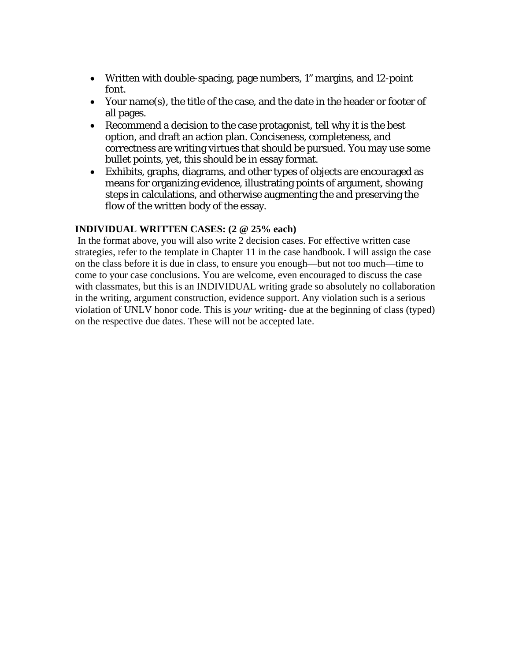- Written with double-spacing, page numbers, 1" margins, and 12-point font.
- Your name(s), the title of the case, and the date in the header or footer of all pages.
- Recommend a decision to the case protagonist, tell why it is the best option, and draft an action plan. Conciseness, completeness, and correctness are writing virtues that should be pursued. You may use some bullet points, yet, this should be in essay format.
- Exhibits, graphs, diagrams, and other types of objects are encouraged as means for organizing evidence, illustrating points of argument, showing steps in calculations, and otherwise augmenting the and preserving the flow of the written body of the essay.

#### **INDIVIDUAL WRITTEN CASES: (2 @ 25% each)**

In the format above, you will also write 2 decision cases. For effective written case strategies, refer to the template in Chapter 11 in the case handbook. I will assign the case on the class before it is due in class, to ensure you enough—but not too much—time to come to your case conclusions. You are welcome, even encouraged to discuss the case with classmates, but this is an INDIVIDUAL writing grade so absolutely no collaboration in the writing, argument construction, evidence support. Any violation such is a serious violation of UNLV honor code. This is *your* writing- due at the beginning of class (typed) on the respective due dates. These will not be accepted late.